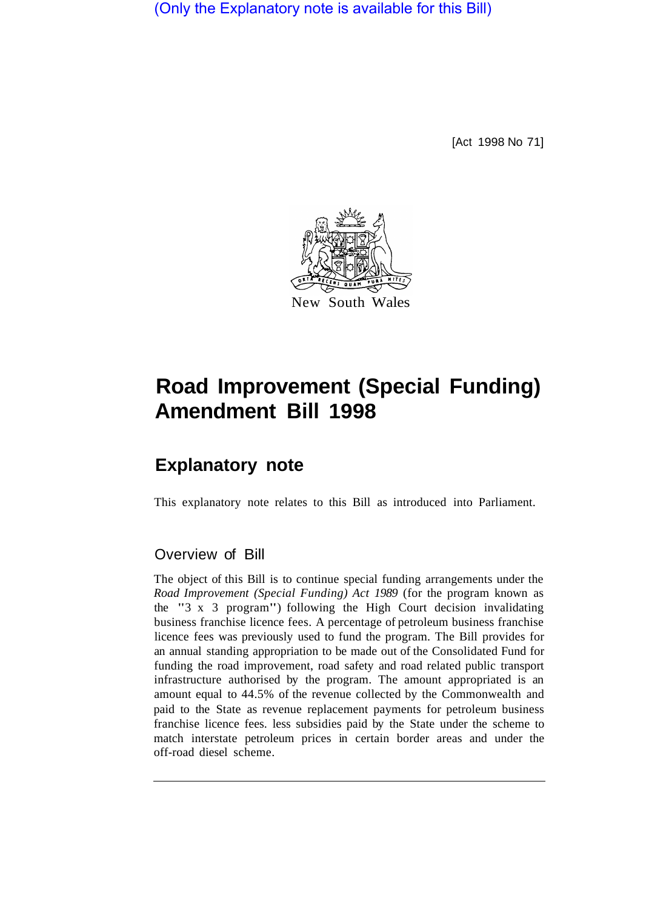(Only the Explanatory note is available for this Bill)

[Act 1998 No 71]



# **Road Improvement (Special Funding) Amendment Bill 1998**

## **Explanatory note**

This explanatory note relates to this Bill as introduced into Parliament.

#### Overview of Bill

The object of this Bill is to continue special funding arrangements under the *Road Improvement (Special Funding) Act 1989* (for the program known as the "3 x 3 program") following the High Court decision invalidating business franchise licence fees. A percentage of petroleum business franchise licence fees was previously used to fund the program. The Bill provides for an annual standing appropriation to be made out of the Consolidated Fund for funding the road improvement, road safety and road related public transport infrastructure authorised by the program. The amount appropriated is an amount equal to 44.5% of the revenue collected by the Commonwealth and paid to the State as revenue replacement payments for petroleum business franchise licence fees. less subsidies paid by the State under the scheme to match interstate petroleum prices in certain border areas and under the off-road diesel scheme.